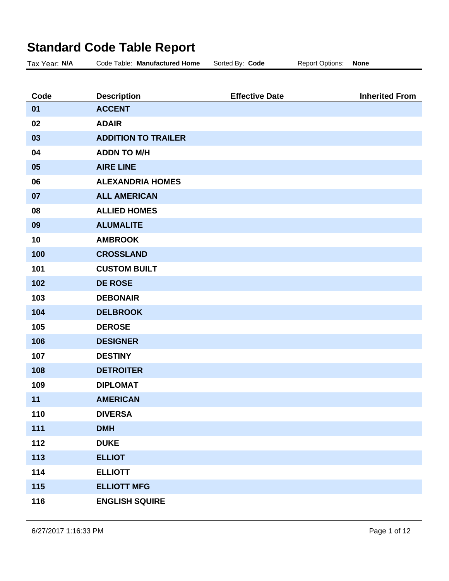## **Standard Code Table Report**

| Tax Year: N/A | Code Table: Manufactured Home | Sorted By: Code       | <b>Report Options:</b> | <b>None</b>           |
|---------------|-------------------------------|-----------------------|------------------------|-----------------------|
|               |                               |                       |                        |                       |
| Code          | <b>Description</b>            | <b>Effective Date</b> |                        | <b>Inherited From</b> |
| 01            | <b>ACCENT</b>                 |                       |                        |                       |
| 02            | <b>ADAIR</b>                  |                       |                        |                       |
| 03            | <b>ADDITION TO TRAILER</b>    |                       |                        |                       |
| 04            | <b>ADDN TO M/H</b>            |                       |                        |                       |
| 05            | <b>AIRE LINE</b>              |                       |                        |                       |
| 06            | <b>ALEXANDRIA HOMES</b>       |                       |                        |                       |
| 07            | <b>ALL AMERICAN</b>           |                       |                        |                       |
| 08            | <b>ALLIED HOMES</b>           |                       |                        |                       |
| 09            | <b>ALUMALITE</b>              |                       |                        |                       |
| 10            | <b>AMBROOK</b>                |                       |                        |                       |
| 100           | <b>CROSSLAND</b>              |                       |                        |                       |
| 101           | <b>CUSTOM BUILT</b>           |                       |                        |                       |
| 102           | <b>DE ROSE</b>                |                       |                        |                       |
| 103           | <b>DEBONAIR</b>               |                       |                        |                       |
| 104           | <b>DELBROOK</b>               |                       |                        |                       |
| 105           | <b>DEROSE</b>                 |                       |                        |                       |
| 106           | <b>DESIGNER</b>               |                       |                        |                       |
| 107           | <b>DESTINY</b>                |                       |                        |                       |
| 108           | <b>DETROITER</b>              |                       |                        |                       |
| 109           | <b>DIPLOMAT</b>               |                       |                        |                       |
| 11            | <b>AMERICAN</b>               |                       |                        |                       |
| 110           | <b>DIVERSA</b>                |                       |                        |                       |
| 111           | <b>DMH</b>                    |                       |                        |                       |
| 112           | <b>DUKE</b>                   |                       |                        |                       |
| 113           | <b>ELLIOT</b>                 |                       |                        |                       |
| 114           | <b>ELLIOTT</b>                |                       |                        |                       |
| 115           | <b>ELLIOTT MFG</b>            |                       |                        |                       |
| 116           | <b>ENGLISH SQUIRE</b>         |                       |                        |                       |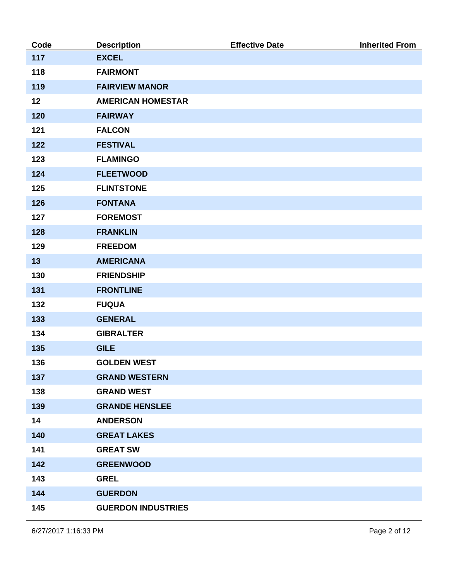| Code | <b>Description</b>        | <b>Effective Date</b> | <b>Inherited From</b> |
|------|---------------------------|-----------------------|-----------------------|
| 117  | <b>EXCEL</b>              |                       |                       |
| 118  | <b>FAIRMONT</b>           |                       |                       |
| 119  | <b>FAIRVIEW MANOR</b>     |                       |                       |
| 12   | <b>AMERICAN HOMESTAR</b>  |                       |                       |
| 120  | <b>FAIRWAY</b>            |                       |                       |
| 121  | <b>FALCON</b>             |                       |                       |
| 122  | <b>FESTIVAL</b>           |                       |                       |
| 123  | <b>FLAMINGO</b>           |                       |                       |
| 124  | <b>FLEETWOOD</b>          |                       |                       |
| 125  | <b>FLINTSTONE</b>         |                       |                       |
| 126  | <b>FONTANA</b>            |                       |                       |
| 127  | <b>FOREMOST</b>           |                       |                       |
| 128  | <b>FRANKLIN</b>           |                       |                       |
| 129  | <b>FREEDOM</b>            |                       |                       |
| 13   | <b>AMERICANA</b>          |                       |                       |
| 130  | <b>FRIENDSHIP</b>         |                       |                       |
| 131  | <b>FRONTLINE</b>          |                       |                       |
| 132  | <b>FUQUA</b>              |                       |                       |
| 133  | <b>GENERAL</b>            |                       |                       |
| 134  | <b>GIBRALTER</b>          |                       |                       |
| 135  | <b>GILE</b>               |                       |                       |
| 136  | <b>GOLDEN WEST</b>        |                       |                       |
| 137  | <b>GRAND WESTERN</b>      |                       |                       |
| 138  | <b>GRAND WEST</b>         |                       |                       |
| 139  | <b>GRANDE HENSLEE</b>     |                       |                       |
| 14   | <b>ANDERSON</b>           |                       |                       |
| 140  | <b>GREAT LAKES</b>        |                       |                       |
| 141  | <b>GREAT SW</b>           |                       |                       |
| 142  | <b>GREENWOOD</b>          |                       |                       |
| 143  | <b>GREL</b>               |                       |                       |
| 144  | <b>GUERDON</b>            |                       |                       |
| 145  | <b>GUERDON INDUSTRIES</b> |                       |                       |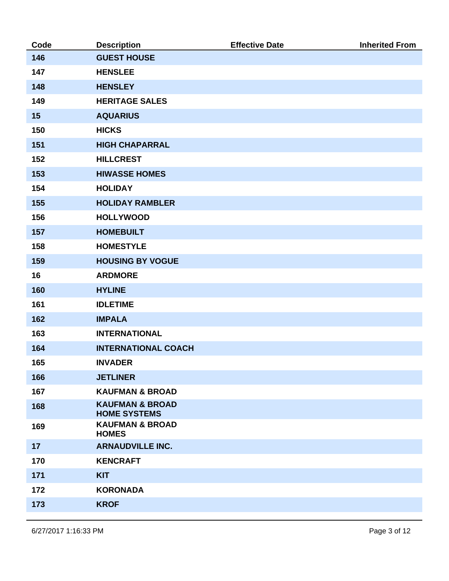| Code | <b>Description</b>                                | <b>Effective Date</b> | <b>Inherited From</b> |
|------|---------------------------------------------------|-----------------------|-----------------------|
| 146  | <b>GUEST HOUSE</b>                                |                       |                       |
| 147  | <b>HENSLEE</b>                                    |                       |                       |
| 148  | <b>HENSLEY</b>                                    |                       |                       |
| 149  | <b>HERITAGE SALES</b>                             |                       |                       |
| 15   | <b>AQUARIUS</b>                                   |                       |                       |
| 150  | <b>HICKS</b>                                      |                       |                       |
| 151  | <b>HIGH CHAPARRAL</b>                             |                       |                       |
| 152  | <b>HILLCREST</b>                                  |                       |                       |
| 153  | <b>HIWASSE HOMES</b>                              |                       |                       |
| 154  | <b>HOLIDAY</b>                                    |                       |                       |
| 155  | <b>HOLIDAY RAMBLER</b>                            |                       |                       |
| 156  | <b>HOLLYWOOD</b>                                  |                       |                       |
| 157  | <b>HOMEBUILT</b>                                  |                       |                       |
| 158  | <b>HOMESTYLE</b>                                  |                       |                       |
| 159  | <b>HOUSING BY VOGUE</b>                           |                       |                       |
| 16   | <b>ARDMORE</b>                                    |                       |                       |
| 160  | <b>HYLINE</b>                                     |                       |                       |
| 161  | <b>IDLETIME</b>                                   |                       |                       |
| 162  | <b>IMPALA</b>                                     |                       |                       |
| 163  | <b>INTERNATIONAL</b>                              |                       |                       |
| 164  | <b>INTERNATIONAL COACH</b>                        |                       |                       |
| 165  | <b>INVADER</b>                                    |                       |                       |
| 166  | <b>JETLINER</b>                                   |                       |                       |
| 167  | <b>KAUFMAN &amp; BROAD</b>                        |                       |                       |
| 168  | <b>KAUFMAN &amp; BROAD</b><br><b>HOME SYSTEMS</b> |                       |                       |
| 169  | <b>KAUFMAN &amp; BROAD</b><br><b>HOMES</b>        |                       |                       |
| 17   | <b>ARNAUDVILLE INC.</b>                           |                       |                       |
| 170  | <b>KENCRAFT</b>                                   |                       |                       |
| 171  | <b>KIT</b>                                        |                       |                       |
| 172  | <b>KORONADA</b>                                   |                       |                       |
| 173  | <b>KROF</b>                                       |                       |                       |
|      |                                                   |                       |                       |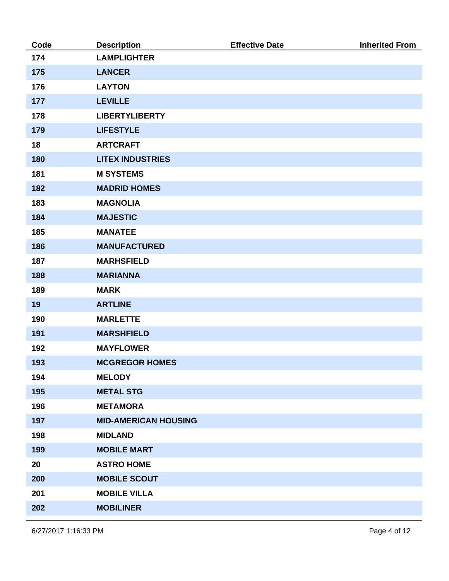| Code | <b>Description</b>          | <b>Effective Date</b> | <b>Inherited From</b> |
|------|-----------------------------|-----------------------|-----------------------|
| 174  | <b>LAMPLIGHTER</b>          |                       |                       |
| 175  | <b>LANCER</b>               |                       |                       |
| 176  | <b>LAYTON</b>               |                       |                       |
| 177  | <b>LEVILLE</b>              |                       |                       |
| 178  | <b>LIBERTYLIBERTY</b>       |                       |                       |
| 179  | <b>LIFESTYLE</b>            |                       |                       |
| 18   | <b>ARTCRAFT</b>             |                       |                       |
| 180  | <b>LITEX INDUSTRIES</b>     |                       |                       |
| 181  | <b>M SYSTEMS</b>            |                       |                       |
| 182  | <b>MADRID HOMES</b>         |                       |                       |
| 183  | <b>MAGNOLIA</b>             |                       |                       |
| 184  | <b>MAJESTIC</b>             |                       |                       |
| 185  | <b>MANATEE</b>              |                       |                       |
| 186  | <b>MANUFACTURED</b>         |                       |                       |
| 187  | <b>MARHSFIELD</b>           |                       |                       |
| 188  | <b>MARIANNA</b>             |                       |                       |
| 189  | <b>MARK</b>                 |                       |                       |
| 19   | <b>ARTLINE</b>              |                       |                       |
| 190  | <b>MARLETTE</b>             |                       |                       |
| 191  | <b>MARSHFIELD</b>           |                       |                       |
| 192  | <b>MAYFLOWER</b>            |                       |                       |
| 193  | <b>MCGREGOR HOMES</b>       |                       |                       |
| 194  | <b>MELODY</b>               |                       |                       |
| 195  | <b>METAL STG</b>            |                       |                       |
| 196  | <b>METAMORA</b>             |                       |                       |
| 197  | <b>MID-AMERICAN HOUSING</b> |                       |                       |
| 198  | <b>MIDLAND</b>              |                       |                       |
| 199  | <b>MOBILE MART</b>          |                       |                       |
| 20   | <b>ASTRO HOME</b>           |                       |                       |
| 200  | <b>MOBILE SCOUT</b>         |                       |                       |
| 201  | <b>MOBILE VILLA</b>         |                       |                       |
| 202  | <b>MOBILINER</b>            |                       |                       |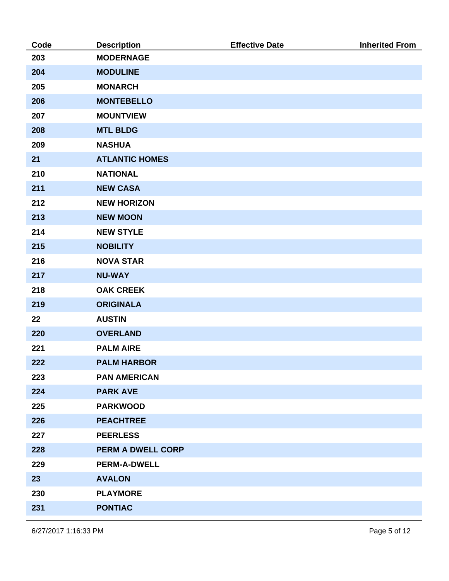| Code | <b>Description</b>       | <b>Effective Date</b> | <b>Inherited From</b> |
|------|--------------------------|-----------------------|-----------------------|
| 203  | <b>MODERNAGE</b>         |                       |                       |
| 204  | <b>MODULINE</b>          |                       |                       |
| 205  | <b>MONARCH</b>           |                       |                       |
| 206  | <b>MONTEBELLO</b>        |                       |                       |
| 207  | <b>MOUNTVIEW</b>         |                       |                       |
| 208  | <b>MTL BLDG</b>          |                       |                       |
| 209  | <b>NASHUA</b>            |                       |                       |
| 21   | <b>ATLANTIC HOMES</b>    |                       |                       |
| 210  | <b>NATIONAL</b>          |                       |                       |
| 211  | <b>NEW CASA</b>          |                       |                       |
| 212  | <b>NEW HORIZON</b>       |                       |                       |
| 213  | <b>NEW MOON</b>          |                       |                       |
| 214  | <b>NEW STYLE</b>         |                       |                       |
| 215  | <b>NOBILITY</b>          |                       |                       |
| 216  | <b>NOVA STAR</b>         |                       |                       |
| 217  | <b>NU-WAY</b>            |                       |                       |
| 218  | <b>OAK CREEK</b>         |                       |                       |
| 219  | <b>ORIGINALA</b>         |                       |                       |
| 22   | <b>AUSTIN</b>            |                       |                       |
| 220  | <b>OVERLAND</b>          |                       |                       |
| 221  | <b>PALM AIRE</b>         |                       |                       |
| 222  | <b>PALM HARBOR</b>       |                       |                       |
| 223  | <b>PAN AMERICAN</b>      |                       |                       |
| 224  | <b>PARK AVE</b>          |                       |                       |
| 225  | <b>PARKWOOD</b>          |                       |                       |
| 226  | <b>PEACHTREE</b>         |                       |                       |
| 227  | <b>PEERLESS</b>          |                       |                       |
| 228  | <b>PERM A DWELL CORP</b> |                       |                       |
| 229  | <b>PERM-A-DWELL</b>      |                       |                       |
| 23   | <b>AVALON</b>            |                       |                       |
| 230  | <b>PLAYMORE</b>          |                       |                       |
| 231  | <b>PONTIAC</b>           |                       |                       |
|      |                          |                       |                       |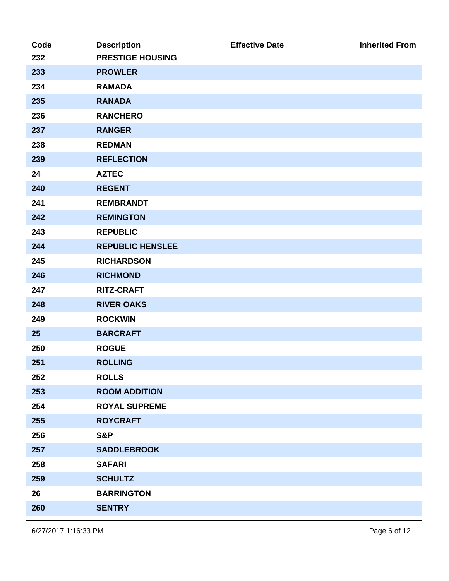| Code | <b>Description</b>      | <b>Effective Date</b> | <b>Inherited From</b> |
|------|-------------------------|-----------------------|-----------------------|
| 232  | <b>PRESTIGE HOUSING</b> |                       |                       |
| 233  | <b>PROWLER</b>          |                       |                       |
| 234  | <b>RAMADA</b>           |                       |                       |
| 235  | <b>RANADA</b>           |                       |                       |
| 236  | <b>RANCHERO</b>         |                       |                       |
| 237  | <b>RANGER</b>           |                       |                       |
| 238  | <b>REDMAN</b>           |                       |                       |
| 239  | <b>REFLECTION</b>       |                       |                       |
| 24   | <b>AZTEC</b>            |                       |                       |
| 240  | <b>REGENT</b>           |                       |                       |
| 241  | <b>REMBRANDT</b>        |                       |                       |
| 242  | <b>REMINGTON</b>        |                       |                       |
| 243  | <b>REPUBLIC</b>         |                       |                       |
| 244  | <b>REPUBLIC HENSLEE</b> |                       |                       |
| 245  | <b>RICHARDSON</b>       |                       |                       |
| 246  | <b>RICHMOND</b>         |                       |                       |
| 247  | <b>RITZ-CRAFT</b>       |                       |                       |
| 248  | <b>RIVER OAKS</b>       |                       |                       |
| 249  | <b>ROCKWIN</b>          |                       |                       |
| 25   | <b>BARCRAFT</b>         |                       |                       |
| 250  | <b>ROGUE</b>            |                       |                       |
| 251  | <b>ROLLING</b>          |                       |                       |
| 252  | <b>ROLLS</b>            |                       |                       |
| 253  | <b>ROOM ADDITION</b>    |                       |                       |
| 254  | <b>ROYAL SUPREME</b>    |                       |                       |
| 255  | <b>ROYCRAFT</b>         |                       |                       |
| 256  | S&P                     |                       |                       |
| 257  | <b>SADDLEBROOK</b>      |                       |                       |
| 258  | <b>SAFARI</b>           |                       |                       |
| 259  | <b>SCHULTZ</b>          |                       |                       |
| 26   | <b>BARRINGTON</b>       |                       |                       |
| 260  | <b>SENTRY</b>           |                       |                       |
|      |                         |                       |                       |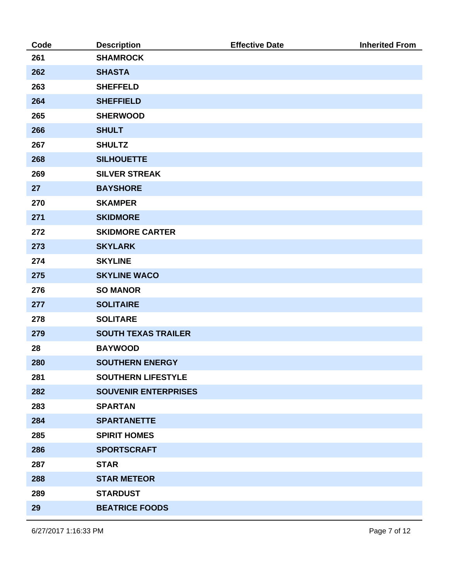| Code | <b>Description</b>          | <b>Effective Date</b> | <b>Inherited From</b> |
|------|-----------------------------|-----------------------|-----------------------|
| 261  | <b>SHAMROCK</b>             |                       |                       |
| 262  | <b>SHASTA</b>               |                       |                       |
| 263  | <b>SHEFFELD</b>             |                       |                       |
| 264  | <b>SHEFFIELD</b>            |                       |                       |
| 265  | <b>SHERWOOD</b>             |                       |                       |
| 266  | <b>SHULT</b>                |                       |                       |
| 267  | <b>SHULTZ</b>               |                       |                       |
| 268  | <b>SILHOUETTE</b>           |                       |                       |
| 269  | <b>SILVER STREAK</b>        |                       |                       |
| 27   | <b>BAYSHORE</b>             |                       |                       |
| 270  | <b>SKAMPER</b>              |                       |                       |
| 271  | <b>SKIDMORE</b>             |                       |                       |
| 272  | <b>SKIDMORE CARTER</b>      |                       |                       |
| 273  | <b>SKYLARK</b>              |                       |                       |
| 274  | <b>SKYLINE</b>              |                       |                       |
| 275  | <b>SKYLINE WACO</b>         |                       |                       |
| 276  | <b>SO MANOR</b>             |                       |                       |
| 277  | <b>SOLITAIRE</b>            |                       |                       |
| 278  | <b>SOLITARE</b>             |                       |                       |
| 279  | <b>SOUTH TEXAS TRAILER</b>  |                       |                       |
| 28   | <b>BAYWOOD</b>              |                       |                       |
| 280  | <b>SOUTHERN ENERGY</b>      |                       |                       |
| 281  | <b>SOUTHERN LIFESTYLE</b>   |                       |                       |
| 282  | <b>SOUVENIR ENTERPRISES</b> |                       |                       |
| 283  | <b>SPARTAN</b>              |                       |                       |
| 284  | <b>SPARTANETTE</b>          |                       |                       |
| 285  | <b>SPIRIT HOMES</b>         |                       |                       |
| 286  | <b>SPORTSCRAFT</b>          |                       |                       |
| 287  | <b>STAR</b>                 |                       |                       |
| 288  | <b>STAR METEOR</b>          |                       |                       |
| 289  | <b>STARDUST</b>             |                       |                       |
| 29   | <b>BEATRICE FOODS</b>       |                       |                       |
|      |                             |                       |                       |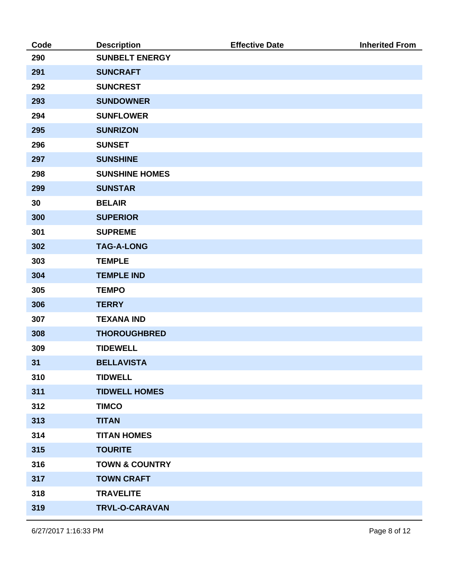| Code | <b>Description</b>        | <b>Effective Date</b> | <b>Inherited From</b> |
|------|---------------------------|-----------------------|-----------------------|
| 290  | <b>SUNBELT ENERGY</b>     |                       |                       |
| 291  | <b>SUNCRAFT</b>           |                       |                       |
| 292  | <b>SUNCREST</b>           |                       |                       |
| 293  | <b>SUNDOWNER</b>          |                       |                       |
| 294  | <b>SUNFLOWER</b>          |                       |                       |
| 295  | <b>SUNRIZON</b>           |                       |                       |
| 296  | <b>SUNSET</b>             |                       |                       |
| 297  | <b>SUNSHINE</b>           |                       |                       |
| 298  | <b>SUNSHINE HOMES</b>     |                       |                       |
| 299  | <b>SUNSTAR</b>            |                       |                       |
| 30   | <b>BELAIR</b>             |                       |                       |
| 300  | <b>SUPERIOR</b>           |                       |                       |
| 301  | <b>SUPREME</b>            |                       |                       |
| 302  | <b>TAG-A-LONG</b>         |                       |                       |
| 303  | <b>TEMPLE</b>             |                       |                       |
| 304  | <b>TEMPLE IND</b>         |                       |                       |
| 305  | <b>TEMPO</b>              |                       |                       |
| 306  | <b>TERRY</b>              |                       |                       |
| 307  | <b>TEXANA IND</b>         |                       |                       |
| 308  | <b>THOROUGHBRED</b>       |                       |                       |
| 309  | <b>TIDEWELL</b>           |                       |                       |
| 31   | <b>BELLAVISTA</b>         |                       |                       |
| 310  | <b>TIDWELL</b>            |                       |                       |
| 311  | <b>TIDWELL HOMES</b>      |                       |                       |
| 312  | <b>TIMCO</b>              |                       |                       |
| 313  | <b>TITAN</b>              |                       |                       |
| 314  | <b>TITAN HOMES</b>        |                       |                       |
| 315  | <b>TOURITE</b>            |                       |                       |
| 316  | <b>TOWN &amp; COUNTRY</b> |                       |                       |
| 317  | <b>TOWN CRAFT</b>         |                       |                       |
| 318  | <b>TRAVELITE</b>          |                       |                       |
| 319  | TRVL-O-CARAVAN            |                       |                       |
|      |                           |                       |                       |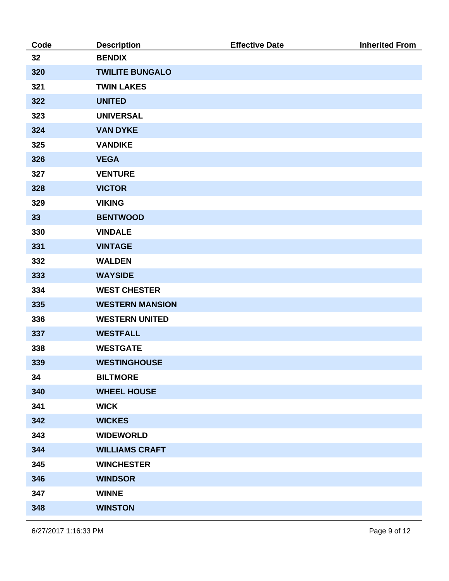| Code | <b>Description</b>     | <b>Effective Date</b> | <b>Inherited From</b> |
|------|------------------------|-----------------------|-----------------------|
| 32   | <b>BENDIX</b>          |                       |                       |
| 320  | <b>TWILITE BUNGALO</b> |                       |                       |
| 321  | <b>TWIN LAKES</b>      |                       |                       |
| 322  | <b>UNITED</b>          |                       |                       |
| 323  | <b>UNIVERSAL</b>       |                       |                       |
| 324  | <b>VAN DYKE</b>        |                       |                       |
| 325  | <b>VANDIKE</b>         |                       |                       |
| 326  | <b>VEGA</b>            |                       |                       |
| 327  | <b>VENTURE</b>         |                       |                       |
| 328  | <b>VICTOR</b>          |                       |                       |
| 329  | <b>VIKING</b>          |                       |                       |
| 33   | <b>BENTWOOD</b>        |                       |                       |
| 330  | <b>VINDALE</b>         |                       |                       |
| 331  | <b>VINTAGE</b>         |                       |                       |
| 332  | <b>WALDEN</b>          |                       |                       |
| 333  | <b>WAYSIDE</b>         |                       |                       |
| 334  | <b>WEST CHESTER</b>    |                       |                       |
| 335  | <b>WESTERN MANSION</b> |                       |                       |
| 336  | <b>WESTERN UNITED</b>  |                       |                       |
| 337  | <b>WESTFALL</b>        |                       |                       |
| 338  | <b>WESTGATE</b>        |                       |                       |
| 339  | <b>WESTINGHOUSE</b>    |                       |                       |
| 34   | <b>BILTMORE</b>        |                       |                       |
| 340  | <b>WHEEL HOUSE</b>     |                       |                       |
| 341  | <b>WICK</b>            |                       |                       |
| 342  | <b>WICKES</b>          |                       |                       |
| 343  | <b>WIDEWORLD</b>       |                       |                       |
| 344  | <b>WILLIAMS CRAFT</b>  |                       |                       |
| 345  | <b>WINCHESTER</b>      |                       |                       |
| 346  | <b>WINDSOR</b>         |                       |                       |
| 347  | <b>WINNE</b>           |                       |                       |
| 348  | <b>WINSTON</b>         |                       |                       |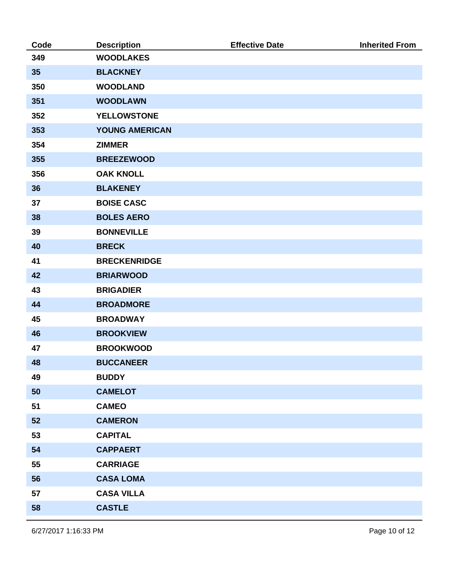| Code | <b>Description</b>    | <b>Effective Date</b> | <b>Inherited From</b> |
|------|-----------------------|-----------------------|-----------------------|
| 349  | <b>WOODLAKES</b>      |                       |                       |
| 35   | <b>BLACKNEY</b>       |                       |                       |
| 350  | <b>WOODLAND</b>       |                       |                       |
| 351  | <b>WOODLAWN</b>       |                       |                       |
| 352  | <b>YELLOWSTONE</b>    |                       |                       |
| 353  | <b>YOUNG AMERICAN</b> |                       |                       |
| 354  | <b>ZIMMER</b>         |                       |                       |
| 355  | <b>BREEZEWOOD</b>     |                       |                       |
| 356  | <b>OAK KNOLL</b>      |                       |                       |
| 36   | <b>BLAKENEY</b>       |                       |                       |
| 37   | <b>BOISE CASC</b>     |                       |                       |
| 38   | <b>BOLES AERO</b>     |                       |                       |
| 39   | <b>BONNEVILLE</b>     |                       |                       |
| 40   | <b>BRECK</b>          |                       |                       |
| 41   | <b>BRECKENRIDGE</b>   |                       |                       |
| 42   | <b>BRIARWOOD</b>      |                       |                       |
| 43   | <b>BRIGADIER</b>      |                       |                       |
| 44   | <b>BROADMORE</b>      |                       |                       |
| 45   | <b>BROADWAY</b>       |                       |                       |
| 46   | <b>BROOKVIEW</b>      |                       |                       |
| 47   | <b>BROOKWOOD</b>      |                       |                       |
| 48   | <b>BUCCANEER</b>      |                       |                       |
| 49   | <b>BUDDY</b>          |                       |                       |
| 50   | <b>CAMELOT</b>        |                       |                       |
| 51   | <b>CAMEO</b>          |                       |                       |
| 52   | <b>CAMERON</b>        |                       |                       |
| 53   | <b>CAPITAL</b>        |                       |                       |
| 54   | <b>CAPPAERT</b>       |                       |                       |
| 55   | <b>CARRIAGE</b>       |                       |                       |
| 56   | <b>CASA LOMA</b>      |                       |                       |
| 57   | <b>CASA VILLA</b>     |                       |                       |
| 58   | <b>CASTLE</b>         |                       |                       |
|      |                       |                       |                       |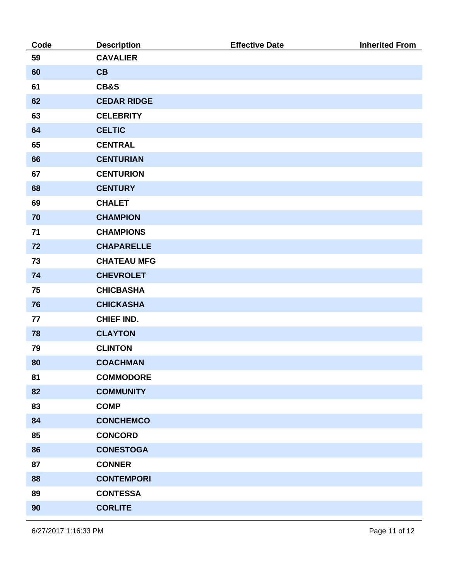| Code | <b>Description</b> | <b>Effective Date</b> | <b>Inherited From</b> |
|------|--------------------|-----------------------|-----------------------|
| 59   | <b>CAVALIER</b>    |                       |                       |
| 60   | CB                 |                       |                       |
| 61   | CB&S               |                       |                       |
| 62   | <b>CEDAR RIDGE</b> |                       |                       |
| 63   | <b>CELEBRITY</b>   |                       |                       |
| 64   | <b>CELTIC</b>      |                       |                       |
| 65   | <b>CENTRAL</b>     |                       |                       |
| 66   | <b>CENTURIAN</b>   |                       |                       |
| 67   | <b>CENTURION</b>   |                       |                       |
| 68   | <b>CENTURY</b>     |                       |                       |
| 69   | <b>CHALET</b>      |                       |                       |
| 70   | <b>CHAMPION</b>    |                       |                       |
| 71   | <b>CHAMPIONS</b>   |                       |                       |
| 72   | <b>CHAPARELLE</b>  |                       |                       |
| 73   | <b>CHATEAU MFG</b> |                       |                       |
| 74   | <b>CHEVROLET</b>   |                       |                       |
| 75   | <b>CHICBASHA</b>   |                       |                       |
| 76   | <b>CHICKASHA</b>   |                       |                       |
| 77   | <b>CHIEF IND.</b>  |                       |                       |
| 78   | <b>CLAYTON</b>     |                       |                       |
| 79   | <b>CLINTON</b>     |                       |                       |
| 80   | <b>COACHMAN</b>    |                       |                       |
| 81   | <b>COMMODORE</b>   |                       |                       |
| 82   | <b>COMMUNITY</b>   |                       |                       |
| 83   | <b>COMP</b>        |                       |                       |
| 84   | <b>CONCHEMCO</b>   |                       |                       |
| 85   | <b>CONCORD</b>     |                       |                       |
| 86   | <b>CONESTOGA</b>   |                       |                       |
| 87   | <b>CONNER</b>      |                       |                       |
| 88   | <b>CONTEMPORI</b>  |                       |                       |
| 89   | <b>CONTESSA</b>    |                       |                       |
| 90   | <b>CORLITE</b>     |                       |                       |
|      |                    |                       |                       |